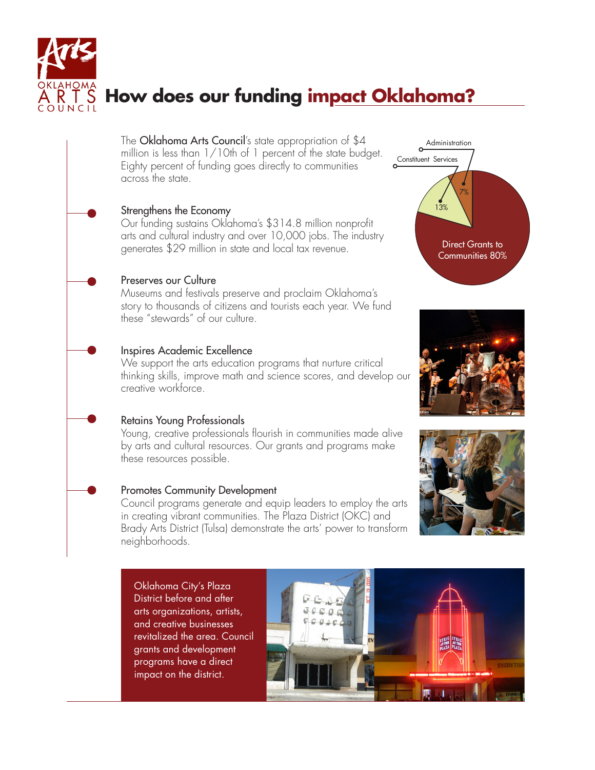

# **How does our funding impact Oklahoma?**

The **Oklahoma Arts Council**'s state appropriation of \$4 million is less than 1/10th of 1 percent of the state budget. Eighty percent of funding goes directly to communities across the state.

#### Strengthens the Economy

Our funding sustains Oklahoma's \$314.8 million nonprofit arts and cultural industry and over 10,000 jobs. The industry generates \$29 million in state and local tax revenue.

## Preserves our Culture

Museums and festivals preserve and proclaim Oklahoma's story to thousands of citizens and tourists each year. We fund these "stewards" of our culture.

## Inspires Academic Excellence

We support the arts education programs that nurture critical thinking skills, improve math and science scores, and develop our creative workforce.

## Retains Young Professionals

Young, creative professionals flourish in communities made alive by arts and cultural resources. Our grants and programs make these resources possible.

#### Promotes Community Development

Council programs generate and equip leaders to employ the arts in creating vibrant communities. The Plaza District (OKC) and Brady Arts District (Tulsa) demonstrate the arts' power to transform neighborhoods.

Oklahoma City's Plaza District before and after arts organizations, artists, and creative businesses revitalized the area. Council grants and development programs have a direct impact on the district.